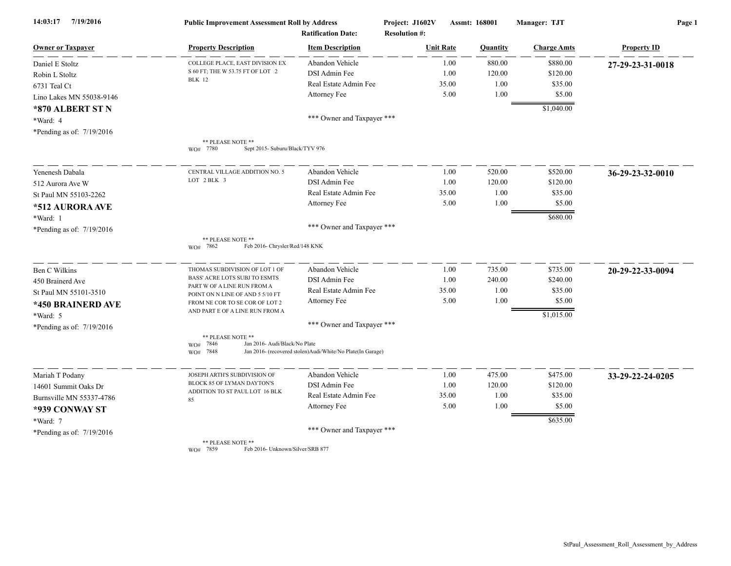| 7/19/2016<br>14:03:17       | <b>Public Improvement Assessment Roll by Address</b><br><b>Ratification Date:</b> |                                                             | Project: J1602V<br><b>Resolution #:</b> | Assmt: 168001 | Manager: TJT       | Page 1             |  |
|-----------------------------|-----------------------------------------------------------------------------------|-------------------------------------------------------------|-----------------------------------------|---------------|--------------------|--------------------|--|
| <b>Owner or Taxpayer</b>    | <b>Property Description</b>                                                       | <b>Item Description</b>                                     | <b>Unit Rate</b>                        | Quantity      | <b>Charge Amts</b> | <b>Property ID</b> |  |
| Daniel E Stoltz             | COLLEGE PLACE, EAST DIVISION EX                                                   | Abandon Vehicle                                             | 1.00                                    | 880.00        | \$880.00           | 27-29-23-31-0018   |  |
| Robin L Stoltz              | S 60 FT; THE W 53.75 FT OF LOT 2                                                  | DSI Admin Fee                                               | 1.00                                    | 120.00        | \$120.00           |                    |  |
| 6731 Teal Ct                | <b>BLK</b> 12                                                                     | Real Estate Admin Fee                                       | 35.00                                   | 1.00          | \$35.00            |                    |  |
| Lino Lakes MN 55038-9146    |                                                                                   | Attorney Fee                                                | 5.00                                    | 1.00          | \$5.00             |                    |  |
| *870 ALBERT ST N            |                                                                                   |                                                             |                                         |               | \$1,040.00         |                    |  |
| *Ward: 4                    |                                                                                   | *** Owner and Taxpayer ***                                  |                                         |               |                    |                    |  |
| *Pending as of: 7/19/2016   |                                                                                   |                                                             |                                         |               |                    |                    |  |
|                             | ** PLEASE NOTE **<br>WO# 7780<br>Sept 2015- Suburu/Black/TYV 976                  |                                                             |                                         |               |                    |                    |  |
| Yenenesh Dabala             | CENTRAL VILLAGE ADDITION NO. 5                                                    | Abandon Vehicle                                             | 1.00                                    | 520.00        | \$520.00           | 36-29-23-32-0010   |  |
| 512 Aurora Ave W            | LOT 2 BLK 3                                                                       | DSI Admin Fee                                               | 1.00                                    | 120.00        | \$120.00           |                    |  |
| St Paul MN 55103-2262       |                                                                                   | Real Estate Admin Fee                                       | 35.00                                   | 1.00          | \$35.00            |                    |  |
| *512 AURORA AVE             |                                                                                   | Attorney Fee                                                | 5.00                                    | 1.00          | \$5.00             |                    |  |
| *Ward: 1                    |                                                                                   |                                                             |                                         |               | \$680.00           |                    |  |
| *Pending as of: 7/19/2016   |                                                                                   | *** Owner and Taxpayer ***                                  |                                         |               |                    |                    |  |
|                             | ** PLEASE NOTE **<br>Feb 2016- Chrysler/Red/148 KNK<br>WO# 7862                   |                                                             |                                         |               |                    |                    |  |
| Ben C Wilkins               | THOMAS SUBDIVISION OF LOT 1 OF                                                    | Abandon Vehicle                                             | 1.00                                    | 735.00        | \$735.00           | 20-29-22-33-0094   |  |
| 450 Brainerd Ave            | BASS' ACRE LOTS SUBJ TO ESMTS                                                     | DSI Admin Fee                                               | 1.00                                    | 240.00        | \$240.00           |                    |  |
| St Paul MN 55101-3510       | PART W OF A LINE RUN FROM A<br>POINT ON N LINE OF AND 5 5/10 FT                   | Real Estate Admin Fee                                       | 35.00                                   | 1.00          | \$35.00            |                    |  |
| *450 BRAINERD AVE           | FROM NE COR TO SE COR OF LOT 2                                                    | Attorney Fee                                                | 5.00                                    | 1.00          | \$5.00             |                    |  |
| *Ward: 5                    | AND PART E OF A LINE RUN FROM A                                                   |                                                             |                                         |               | \$1,015.00         |                    |  |
| *Pending as of: $7/19/2016$ |                                                                                   | *** Owner and Taxpayer ***                                  |                                         |               |                    |                    |  |
|                             | ** PLEASE NOTE **<br>Jan 2016- Audi/Black/No Plate<br>7846<br>WO#<br>7848<br>WO#  | Jan 2016- (recovered stolen) Audi/White/No Plate(In Garage) |                                         |               |                    |                    |  |
| Mariah T Podany             | JOSEPH ARTH'S SUBDIVISION OF                                                      | Abandon Vehicle                                             | 1.00                                    | 475.00        | \$475.00           | 33-29-22-24-0205   |  |
| 14601 Summit Oaks Dr        | BLOCK 85 OF LYMAN DAYTON'S                                                        | DSI Admin Fee                                               | 1.00                                    | 120.00        | \$120.00           |                    |  |
| Burnsville MN 55337-4786    | ADDITION TO ST PAUL LOT 16 BLK<br>85                                              | Real Estate Admin Fee                                       | 35.00                                   | 1.00          | \$35.00            |                    |  |
| *939 CONWAY ST              |                                                                                   | Attorney Fee                                                | 5.00                                    | 1.00          | \$5.00             |                    |  |
| *Ward: 7                    |                                                                                   |                                                             |                                         |               | \$635.00           |                    |  |
| *Pending as of: 7/19/2016   |                                                                                   | *** Owner and Taxpayer ***                                  |                                         |               |                    |                    |  |
|                             | ** PLEASE NOTE **                                                                 |                                                             |                                         |               |                    |                    |  |

WO# 7859 Feb 2016- Unknown/Silver/SRB 877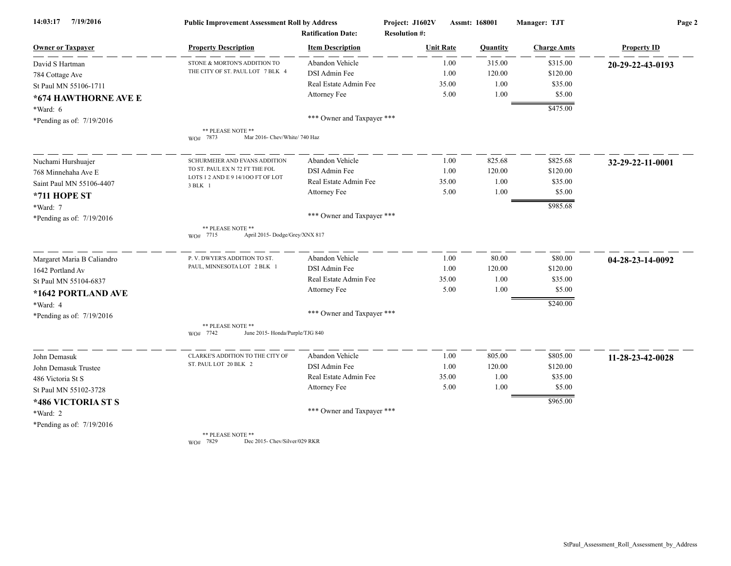| 7/19/2016<br>14:03:17      | <b>Public Improvement Assessment Roll by Address</b><br><b>Ratification Date:</b> |                            | Project: J1602V<br>Assmt: 168001<br><b>Resolution #:</b> |       |          | Manager: TJT       | Page 2             |  |
|----------------------------|-----------------------------------------------------------------------------------|----------------------------|----------------------------------------------------------|-------|----------|--------------------|--------------------|--|
|                            |                                                                                   |                            |                                                          |       |          |                    |                    |  |
| <b>Owner or Taxpayer</b>   | <b>Property Description</b>                                                       | <b>Item Description</b>    | <b>Unit Rate</b>                                         |       | Quantity | <b>Charge Amts</b> | <b>Property ID</b> |  |
| David S Hartman            | STONE & MORTON'S ADDITION TO                                                      | Abandon Vehicle            |                                                          | 1.00  | 315.00   | \$315.00           | 20-29-22-43-0193   |  |
| 784 Cottage Ave            | THE CITY OF ST. PAUL LOT 7 BLK 4                                                  | DSI Admin Fee              |                                                          | 1.00  | 120.00   | \$120.00           |                    |  |
| St Paul MN 55106-1711      |                                                                                   | Real Estate Admin Fee      |                                                          | 35.00 | 1.00     | \$35.00            |                    |  |
| *674 HAWTHORNE AVE E       |                                                                                   | Attorney Fee               |                                                          | 5.00  | 1.00     | \$5.00             |                    |  |
| $*Ward: 6$                 |                                                                                   |                            |                                                          |       |          | \$475.00           |                    |  |
| *Pending as of: 7/19/2016  |                                                                                   | *** Owner and Taxpayer *** |                                                          |       |          |                    |                    |  |
|                            | ** PLEASE NOTE **<br>WO# 7873<br>Mar 2016- Chev/White/ 740 Haz                    |                            |                                                          |       |          |                    |                    |  |
| Nuchami Hurshuajer         | SCHURMEIER AND EVANS ADDITION                                                     | Abandon Vehicle            |                                                          | 1.00  | 825.68   | \$825.68           | 32-29-22-11-0001   |  |
| 768 Minnehaha Ave E        | TO ST. PAUL EX N 72 FT THE FOL                                                    | DSI Admin Fee              |                                                          | 1.00  | 120.00   | \$120.00           |                    |  |
| Saint Paul MN 55106-4407   | LOTS 1 2 AND E 9 14/100 FT OF LOT<br>3 BLK 1                                      | Real Estate Admin Fee      |                                                          | 35.00 | 1.00     | \$35.00            |                    |  |
| *711 HOPE ST               |                                                                                   | Attorney Fee               |                                                          | 5.00  | 1.00     | \$5.00             |                    |  |
| *Ward: 7                   |                                                                                   |                            |                                                          |       |          | \$985.68           |                    |  |
| *Pending as of: 7/19/2016  |                                                                                   | *** Owner and Taxpayer *** |                                                          |       |          |                    |                    |  |
|                            | ** PLEASE NOTE **<br>April 2015- Dodge/Grey/XNX 817<br>WO# 7715                   |                            |                                                          |       |          |                    |                    |  |
| Margaret Maria B Caliandro | P. V. DWYER'S ADDITION TO ST.                                                     | Abandon Vehicle            |                                                          | 1.00  | 80.00    | \$80.00            | 04-28-23-14-0092   |  |
| 1642 Portland Av           | PAUL, MINNESOTA LOT 2 BLK 1                                                       | DSI Admin Fee              |                                                          | 1.00  | 120.00   | \$120.00           |                    |  |
| St Paul MN 55104-6837      |                                                                                   | Real Estate Admin Fee      |                                                          | 35.00 | 1.00     | \$35.00            |                    |  |
| *1642 PORTLAND AVE         |                                                                                   | Attorney Fee               |                                                          | 5.00  | 1.00     | \$5.00             |                    |  |
| *Ward: 4                   |                                                                                   |                            |                                                          |       |          | \$240.00           |                    |  |
| *Pending as of: 7/19/2016  |                                                                                   | *** Owner and Taxpayer *** |                                                          |       |          |                    |                    |  |
|                            | ** PLEASE NOTE **<br>WO# 7742<br>June 2015- Honda/Purple/TJG 840                  |                            |                                                          |       |          |                    |                    |  |
| John Demasuk               | CLARKE'S ADDITION TO THE CITY OF                                                  | Abandon Vehicle            |                                                          | 1.00  | 805.00   | \$805.00           | 11-28-23-42-0028   |  |
| John Demasuk Trustee       | ST. PAUL LOT 20 BLK 2                                                             | DSI Admin Fee              |                                                          | 1.00  | 120.00   | \$120.00           |                    |  |
| 486 Victoria St S          |                                                                                   | Real Estate Admin Fee      |                                                          | 35.00 | 1.00     | \$35.00            |                    |  |
| St Paul MN 55102-3728      |                                                                                   | Attorney Fee               |                                                          | 5.00  | 1.00     | \$5.00             |                    |  |
| *486 VICTORIA ST S         |                                                                                   |                            |                                                          |       |          | \$965.00           |                    |  |
| *Ward: 2                   |                                                                                   | *** Owner and Taxpayer *** |                                                          |       |          |                    |                    |  |
| *Pending as of: 7/19/2016  |                                                                                   |                            |                                                          |       |          |                    |                    |  |
|                            | ** PLEASE NOTE **                                                                 |                            |                                                          |       |          |                    |                    |  |

WO# 7829 Dec 2015- Chev/Silver/029 RKR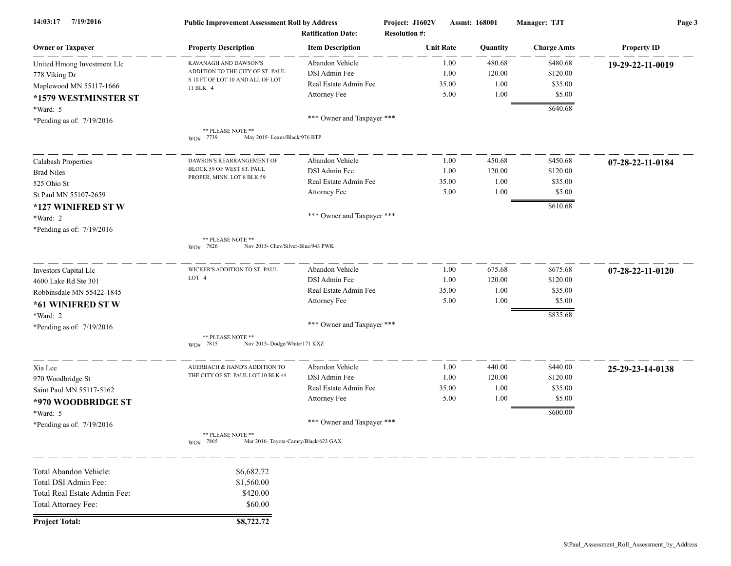| 14:03:17 7/19/2016           | <b>Public Improvement Assessment Roll by Address</b><br><b>Ratification Date:</b> |                            | Project: J1602V<br>Assmt: 168001<br><b>Resolution #:</b> |              | Manager: TJT | Page 3             |                            |
|------------------------------|-----------------------------------------------------------------------------------|----------------------------|----------------------------------------------------------|--------------|--------------|--------------------|----------------------------|
| <b>Owner or Taxpayer</b>     | <b>Property Description</b>                                                       | <b>Item Description</b>    | <b>Unit Rate</b>                                         |              | Quantity     | <b>Charge Amts</b> | <b>Property ID</b>         |
| United Hmong Investment Llc  | KAVANAGH AND DAWSON'S                                                             | Abandon Vehicle            |                                                          | 1.00         | 480.68       | \$480.68           | 19-29-22-11-0019           |
| 778 Viking Dr                | ADDITION TO THE CITY OF ST. PAUL                                                  | DSI Admin Fee              |                                                          | 1.00         | 120.00       | \$120.00           |                            |
| Maplewood MN 55117-1666      | S 10 FT OF LOT 10 AND ALL OF LOT<br>11 BLK 4                                      | Real Estate Admin Fee      |                                                          | 35.00        | 1.00         | \$35.00            |                            |
| *1579 WESTMINSTER ST         |                                                                                   | Attorney Fee               |                                                          | 5.00         | 1.00         | \$5.00             |                            |
| *Ward: 5                     |                                                                                   |                            |                                                          |              |              | \$640.68           |                            |
| *Pending as of: 7/19/2016    |                                                                                   | *** Owner and Taxpayer *** |                                                          |              |              |                    |                            |
|                              | ** PLEASE NOTE **<br>May 2015- Lexus/Black/976 BTP<br>WO# 7739                    |                            |                                                          |              |              |                    |                            |
|                              | DAWSON'S REARRANGEMENT OF                                                         | Abandon Vehicle            |                                                          |              | 450.68       | \$450.68           |                            |
| Calabash Properties          | BLOCK 59 OF WEST ST. PAUL                                                         | DSI Admin Fee              |                                                          | 1.00<br>1.00 | 120.00       | \$120.00           | 07-28-22-11-0184           |
| <b>Brad Niles</b>            | PROPER, MINN. LOT 8 BLK 59                                                        | Real Estate Admin Fee      |                                                          | 35.00        | 1.00         | \$35.00            |                            |
| 525 Ohio St                  |                                                                                   | Attorney Fee               |                                                          | 5.00         | 1.00         | \$5.00             |                            |
| St Paul MN 55107-2659        |                                                                                   |                            |                                                          |              |              |                    |                            |
| *127 WINIFRED ST W           |                                                                                   |                            |                                                          |              |              | \$610.68           |                            |
| *Ward: 2                     |                                                                                   | *** Owner and Taxpayer *** |                                                          |              |              |                    |                            |
| *Pending as of: 7/19/2016    |                                                                                   |                            |                                                          |              |              |                    |                            |
|                              | ** PLEASE NOTE **<br>Nov 2015- Chev/Silver-Blue/943 PWK<br>WO# 7826               |                            |                                                          |              |              |                    |                            |
| Investors Capital Llc        | WICKER'S ADDITION TO ST. PAUL                                                     | Abandon Vehicle            |                                                          | 1.00         | 675.68       | \$675.68           | $07 - 28 - 22 - 11 - 0120$ |
| 4600 Lake Rd Ste 301         | LOT 4                                                                             | DSI Admin Fee              |                                                          | 1.00         | 120.00       | \$120.00           |                            |
| Robbinsdale MN 55422-1845    |                                                                                   | Real Estate Admin Fee      |                                                          | 35.00        | 1.00         | \$35.00            |                            |
| *61 WINIFRED ST W            |                                                                                   | Attorney Fee               |                                                          | 5.00         | 1.00         | \$5.00             |                            |
| *Ward: 2                     |                                                                                   |                            |                                                          |              |              | \$835.68           |                            |
| *Pending as of: $7/19/2016$  |                                                                                   | *** Owner and Taxpayer *** |                                                          |              |              |                    |                            |
|                              | ** PLEASE NOTE **<br>Nov 2015-Dodge/White/171 KXZ<br>7815<br>WO#                  |                            |                                                          |              |              |                    |                            |
|                              | AUERBACH & HAND'S ADDITION TO                                                     | Abandon Vehicle            |                                                          | 1.00         | 440.00       | \$440.00           |                            |
| Xia Lee                      | THE CITY OF ST. PAUL LOT 10 BLK 44                                                | DSI Admin Fee              |                                                          | 1.00         | 120.00       | \$120.00           | 25-29-23-14-0138           |
| 970 Woodbridge St            |                                                                                   | Real Estate Admin Fee      |                                                          | 35.00        | 1.00         | \$35.00            |                            |
| Saint Paul MN 55117-5162     |                                                                                   | Attorney Fee               |                                                          | 5.00         | 1.00         | \$5.00             |                            |
| *970 WOODBRIDGE ST           |                                                                                   |                            |                                                          |              |              |                    |                            |
| *Ward: 5                     |                                                                                   |                            |                                                          |              |              | \$600.00           |                            |
| *Pending as of: $7/19/2016$  |                                                                                   | *** Owner and Taxpayer *** |                                                          |              |              |                    |                            |
|                              | ** PLEASE NOTE **<br>Mar 2016- Toyota-Camry/Black/623 GAX<br>WO# 7865             |                            |                                                          |              |              |                    |                            |
| Total Abandon Vehicle:       | \$6,682.72                                                                        |                            |                                                          |              |              |                    |                            |
| Total DSI Admin Fee:         | \$1,560.00                                                                        |                            |                                                          |              |              |                    |                            |
| Total Real Estate Admin Fee: | \$420.00                                                                          |                            |                                                          |              |              |                    |                            |
| Total Attorney Fee:          | \$60.00                                                                           |                            |                                                          |              |              |                    |                            |
| <b>Project Total:</b>        | \$8,722.72                                                                        |                            |                                                          |              |              |                    |                            |